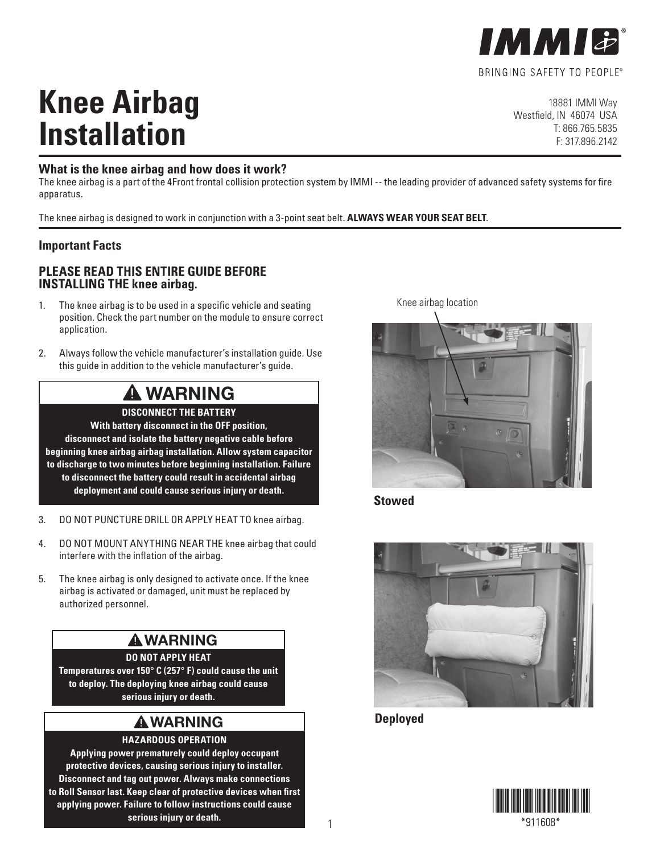

# **Knee Airbag Installation**

18881 IMMI Way Westfield, IN 46074 USA T: 866.765.5835 F: 317.896.2142

#### **What is the knee airbag and how does it work?**

The knee airbag is a part of the 4Front frontal collision protection system by IMMI -- the leading provider of advanced safety systems for fire apparatus.

The knee airbag is designed to work in conjunction with a 3-point seat belt. **ALWAYS WEAR YOUR SEAT BELT**.

#### **Important Facts**

#### **PLEASE READ THIS ENTIRE GUIDE BEFORE INSTALLING THE knee airbag.**

- 1. The knee airbag is to be used in a specific vehicle and seating position. Check the part number on the module to ensure correct application.
- 2. Always follow the vehicle manufacturer's installation guide. Use this guide in addition to the vehicle manufacturer's guide.

# **WARNING**

**DISCONNECT THE BATTERY With battery disconnect in the OFF position, disconnect and isolate the battery negative cable before beginning knee airbag airbag installation. Allow system capacitor to discharge to two minutes before beginning installation. Failure to disconnect the battery could result in accidental airbag deployment and could cause serious injury or death.**

- 3. DO NOT PUNCTURE DRILL OR APPLY HEAT TO knee airbag.
- 4. DO NOT MOUNT ANYTHING NEAR THE knee airbag that could interfere with the inflation of the airbag.
- 5. The knee airbag is only designed to activate once. If the knee airbag is activated or damaged, unit must be replaced by authorized personnel.

## **WARNING**

**DO NOT APPLY HEAT Temperatures over 150° C (257° F) could cause the unit to deploy. The deploying knee airbag could cause serious injury or death.**

### **WARNING**

**HAZARDOUS OPERATION**

**Applying power prematurely could deploy occupant protective devices, causing serious injury to installer. Disconnect and tag out power. Always make connections to Roll Sensor last. Keep clear of protective devices when first applying power. Failure to follow instructions could cause serious injury or death.**

Knee airbag location



**Stowed**



**Deployed**